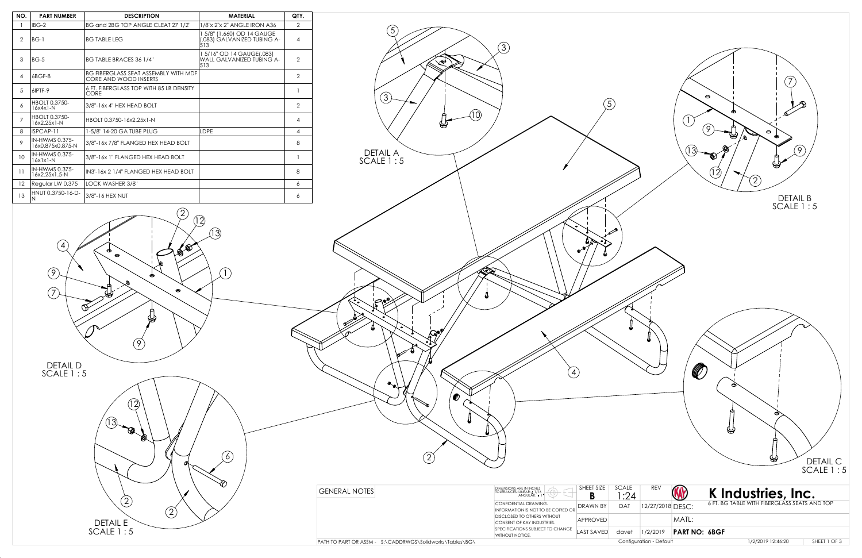

DETAIL E SCALE 1 : 5

13

 $\circled{2}$ 

 $\circled{2}$ 

B

 $\circled{2}$ 

 $\odot$ 

 $\bigcirc$ 

| NO.             | <b>PART NUMBER</b>                        | <b>DESCRIPTION</b>                                                   | <b>MATERIAL</b>                                                  | QTY.           |
|-----------------|-------------------------------------------|----------------------------------------------------------------------|------------------------------------------------------------------|----------------|
| 1               | IBG-2                                     | BG and 2BG TOP ANGLE CLEAT 27 1/2"                                   | 1/8"x 2"x 2" ANGLE IRON A36                                      | 2              |
| $\mathcal{P}$   | $BG-1$                                    | <b>BG TABLE LEG</b>                                                  | 1 5/8" (1.660) OD 14 GAUGE<br>(.083) GALVÁNIZED TUBING A-<br>513 | 4              |
| 3               | $BG-5$                                    | <b>BG TABLE BRACES 36 1/4"</b>                                       | 1 5/16" OD 14 GAUGE(.083)<br>WALL GALVANIZED TUBING A-<br>513    | $\mathcal{P}$  |
| $\overline{4}$  | 6BGF-8                                    | <b>BG FIBERGLASS SEAT ASSEMBLY WITH MDF</b><br>CORE AND WOOD INSERTS |                                                                  | $\overline{2}$ |
| 5               | 6IPTF-9                                   | 6 FT. FIBERGLASS TOP WITH 85 LB DENSITY<br>CORE                      |                                                                  |                |
| 6               | <b>HBOLT 0.3750-</b><br>$16x4x1-N$        | 3/8"-16x 4" HEX HEAD BOLT                                            |                                                                  | $\mathcal{P}$  |
| 7               | <b>HBOLT 0.3750-</b><br>16x2.25x1-N       | HBOLT 0.3750-16x2.25x1-N                                             |                                                                  | 4              |
| 8               | ISPCAP-11                                 | 1-5/8" 14-20 GA TUBE PLUG                                            | <b>LDPE</b>                                                      | 4              |
| 9               | <b>IN-HWMS 0.375-</b><br>16x0.875x0.875-N | 3/8"-16x 7/8" FLANGED HEX HEAD BOLT                                  |                                                                  | 8              |
| 10 <sup>°</sup> | <b>IN-HWMS 0.375-</b><br>$16x1x1-N$       | 3/8"-16x 1" FLANGED HEX HEAD BOLT                                    |                                                                  |                |
| 11              | <b>IN-HWMS 0.375-</b><br>16x2.25x1.5-N    | lin3'-16x 2 1/4" FLANGED HEX HEAD BOLT                               |                                                                  | 8              |
| 12              | Regular LW 0.375                          | LOCK WASHER 3/8"                                                     |                                                                  | 6              |
| 13              | HNUT 0.3750-16-D-<br>N                    | 3/8"-16 HEX NUT                                                      |                                                                  | 6              |



| <b>GENERAL NOTES</b>                                      | <b>DIMENSIONS ARE IN INCHES</b><br>∩<br>TOLERANCES: LINEAR: 1/16<br>ANGULAR: ± 1° | SHEET SIZE        | SCALE     |
|-----------------------------------------------------------|-----------------------------------------------------------------------------------|-------------------|-----------|
|                                                           | CONFIDENTIAL DRAWING.<br>INFORMATION IS NOT TO BE COPIED OR                       | <b>DRAWN BY</b>   | DAT       |
| DISCLOSED TO OTHERS WITHOUT<br>CONSENT OF KAY INDUSTRIES. |                                                                                   | <b>APPROVED</b>   |           |
|                                                           | SPECIFICATIONS SUBJECT TO CHANGE<br>WITHOUT NOTICE.                               | <b>LAST SAVED</b> | davet     |
| PATH TO PART OR ASSM - S:\CADDRWGS\Solidworks\Tables\BG\  |                                                                                   |                   | Configuro |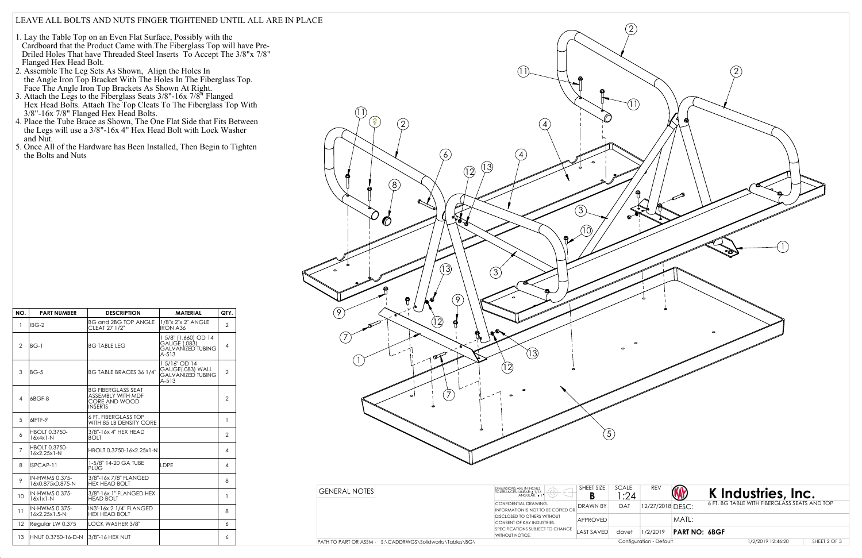## LEAVE ALL BOLTS AND NUTS FINGER TIGHTENED UNTIL ALL ARE IN PLACE

- 1. Lay the Table Top on an Even Flat Surface, Possibly with the Cardboard that the Product Came with.The Fiberglass Top will have Pre- Driled Holes That have Threaded Steel Inserts To Accept The 3/8"x 7/8" Flanged Hex Head Bolt.
- 2. Assemble The Leg Sets As Shown, Align the Holes In the Angle Iron Top Bracket With The Holes In The Fiberglass Top. Face The Angle Iron Top Brackets As Shown At Right.
- 3. Attach the Legs to the Fiberglass Seats 3/8"-16x 7/8" Flanged Hex Head Bolts. Attach The Top Cleats To The Fiberglass Top With 3/8"-16x 7/8" Flanged Hex Head Bolts.
- 4. Place the Tube Brace as Shown, The One Flat Side that Fits Between the Legs will use a 3/8"-16x 4" Hex Head Bolt with Lock Washer and Nut.
- 5. Once All of the Hardware has Been Installed, Then Begin to Tighten the Bolts and Nuts



| NO.            | <b>PART NUMBER</b>                  | <b>DESCRIPTION</b>                                                                | <b>MATERIAL</b>                                                             | QTY.           |
|----------------|-------------------------------------|-----------------------------------------------------------------------------------|-----------------------------------------------------------------------------|----------------|
| $\mathbf{1}$   | IBG-2                               | <b>BG and 2BG TOP ANGLE</b><br>CLEAT 27 1/2"                                      | 1/8"x 2"x 2" ANGLE<br><b>IRON A36</b>                                       | $\overline{2}$ |
| $\overline{2}$ | $BG-1$                              | <b>BG TABLE LEG</b>                                                               | 1 5/8" (1.660) OD 14<br>GAUGE (.083)<br><b>GALVANIZED TUBING</b><br>$A-513$ | $\overline{4}$ |
| 3              | $BG-5$                              | BG TABLE BRACES 36 1/4"                                                           | 15/16" OD 14<br>GAUGE(.083) WALL<br><b>GALVANIZED TUBING</b><br>$A - 513$   | $\overline{2}$ |
| $\overline{4}$ | 6BGF-8                              | <b>BG FIBERGLASS SEAT</b><br>ASSEMBLY WITH MDF<br>CORE AND WOOD<br><b>INSERTS</b> |                                                                             | $\overline{2}$ |
| 5              | 6IPTF-9                             | <b>6 FT. FIBERGLASS TOP</b><br>WITH 85 LB DENSITY CORE                            |                                                                             | 1              |
| 6              | <b>HBOLT 0.3750-</b><br>$16x4x1-N$  | 3/8"-16x 4" HEX HEAD<br><b>BOLT</b>                                               |                                                                             | $\overline{2}$ |
| $\overline{7}$ | <b>HBOLT 0.3750-</b><br>16x2.25x1-N | HBOLT 0.3750-16x2.25x1-N                                                          |                                                                             | 4              |
| 8              | ISPCAP-11                           | 1-5/8" 14-20 GA TUBE<br><b>PLUG</b>                                               | LDPE                                                                        | 4              |
| 9              | IN-HWMS 0.375-<br>16x0.875x0.875-N  | 3/8"-16x 7/8" FLANGED<br><b>HEX HEAD BOLT</b>                                     |                                                                             | 8              |
| 10             | IN-HWMS 0.375-<br>$16x1x1-N$        | 3/8"-16x 1" FLANGED HEX<br><b>HEAD BOLT</b>                                       |                                                                             | 1              |
| 11             | IN-HWMS 0.375-<br>16x2.25x1.5-N     | IN3'-16x 2 1/4" FLANGED<br><b>HEX HEAD BOLT</b>                                   |                                                                             | 8              |
| 12             | Regular LW 0.375                    | LOCK WASHER 3/8"                                                                  |                                                                             | 6              |
| 13             | HNUT 0.3750-16-D-N                  | 13/8"-16 HEX NUT                                                                  |                                                                             | 6              |

1/2/2019 12:46:20

SHEET 2 OF 3

| <b>GENERAL NOTES</b>                                     | DIMENSIONS ARE IN INCHES<br>TOLERANCES: LINEAR: ± 1/16<br>ANGULAR: 1° | SHEET SIZE | SCALE<br>:24 | <b>REV</b>              |
|----------------------------------------------------------|-----------------------------------------------------------------------|------------|--------------|-------------------------|
|                                                          | CONFIDENTIAL DRAWING.<br>INFORMATION IS NOT TO BE COPIED OR           | DRAWN BY   | <b>DAT</b>   | 12/27/2018              |
|                                                          | DISCLOSED TO OTHERS WITHOUT<br>CONSENT OF KAY INDUSTRIES.             | APPROVED   |              |                         |
|                                                          | SPECIFICATIONS SUBJECT TO CHANGE<br>WITHOUT NOTICE.                   | LAST SAVED | davet        | 1/2/2019                |
| PATH TO PART OR ASSM - S:\CADDRWGS\Solidworks\Tables\BG\ |                                                                       |            |              | Configuration - Default |